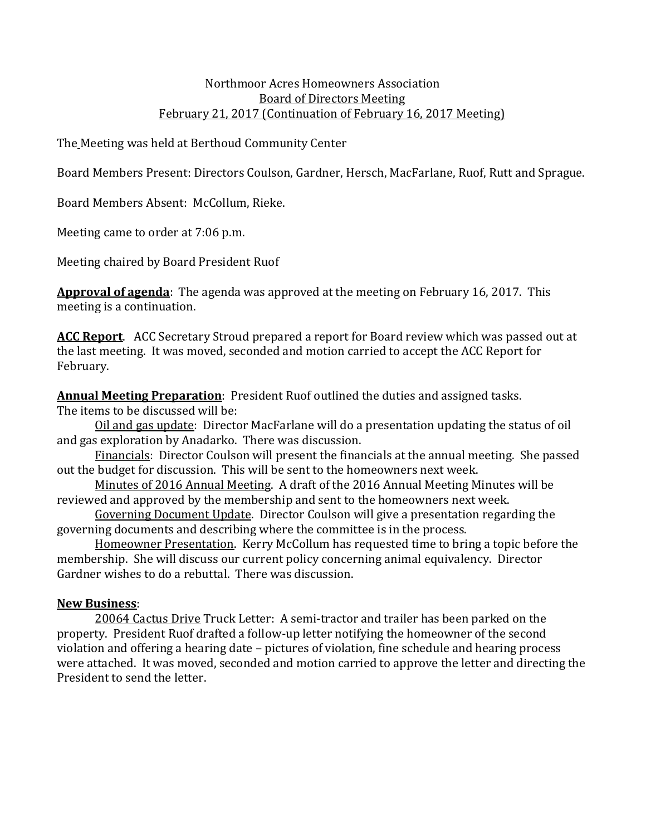## Northmoor Acres Homeowners Association Board of Directors Meeting February 21, 2017 (Continuation of February 16, 2017 Meeting)

The Meeting was held at Berthoud Community Center

Board Members Present: Directors Coulson, Gardner, Hersch, MacFarlane, Ruof, Rutt and Sprague.

Board Members Absent: McCollum, Rieke.

Meeting came to order at 7:06 p.m.

Meeting chaired by Board President Ruof

**Approval of agenda**: The agenda was approved at the meeting on February 16, 2017. This meeting is a continuation.

**ACC Report**. ACC Secretary Stroud prepared a report for Board review which was passed out at the last meeting. It was moved, seconded and motion carried to accept the ACC Report for February.

**Annual Meeting Preparation**: President Ruof outlined the duties and assigned tasks.

The items to be discussed will be:

Oil and gas update: Director MacFarlane will do a presentation updating the status of oil and gas exploration by Anadarko. There was discussion.

Financials: Director Coulson will present the financials at the annual meeting. She passed out the budget for discussion. This will be sent to the homeowners next week.

Minutes of 2016 Annual Meeting. A draft of the 2016 Annual Meeting Minutes will be reviewed and approved by the membership and sent to the homeowners next week.

Governing Document Update. Director Coulson will give a presentation regarding the governing documents and describing where the committee is in the process.

Homeowner Presentation. Kerry McCollum has requested time to bring a topic before the membership. She will discuss our current policy concerning animal equivalency. Director Gardner wishes to do a rebuttal. There was discussion.

## **New Business**:

20064 Cactus Drive Truck Letter: A semi-tractor and trailer has been parked on the property. President Ruof drafted a follow-up letter notifying the homeowner of the second violation and offering a hearing date – pictures of violation, fine schedule and hearing process were attached. It was moved, seconded and motion carried to approve the letter and directing the President to send the letter.